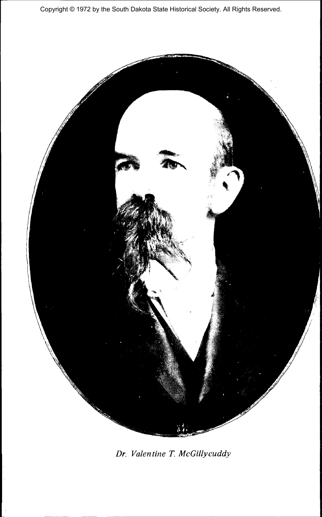Copyright © 1972 by the South Dakota State Historical Society. All Rights Reserved.



*Dr. Valentine T. McGillycuddy*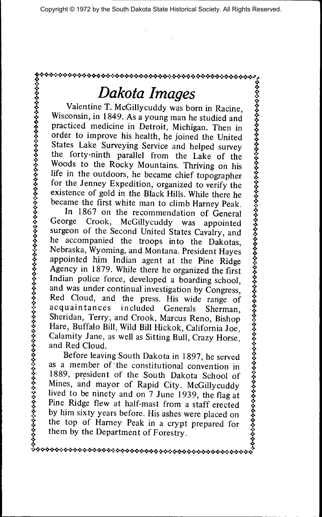## **I** Dakota Images **I**

**«•:••:••:••:•.:..:•.;..:..:..:..>«.>.:..:..:..:.<..:..:.,:..;..;,.;..;..;..;..;.{..;..;..;.,;..;..;..;..;..•..;.,•.,..,...."..,."..**

• Valentine T. McGillycuddy was bom in Racine, *% %* Wisconsin, in 1849. As a young man he studied and *%* « practiced medicine in Detroit, Michigan. Then in *%* • order to improve his health, he joined the United *%* •> States Lake Surveying Service and helped survey *%* <sup>2</sup> the forty-ninth parallel from the Lake of the  $\ddot{\hat{s}}$ • Woods to the Rocky Mountains. Thriving on his *%* **EXECUTE:** life in the outdoors, he became chief topographer • for the Jenney Expedition, organized to verify the *% %* existence of gold in the Black Hills. While there he *%* ? became the first white man to climb Harney Peak, *t*

*%* In 1867 on the recommendation of General *%* • George Crook, McGillycuddy was appointed *% %* surgeon of the Second United States Cavalry, and • • he accompanied the troops into the Dakotas, *%* I Nebraska, Wyoming, and Montana. President Hayes *%* • appointed him Indian agent at the Pine Ridge *%* • Agency in 1879. While there he organized the first  $\ddot{\ddot{\cdot}}$ • Indian police force, developed a boarding school,  $\ddot{\ddot{\bm{x}}}$ • and was under continual investigation by Congress,  $\ddot{\ddot{\bm{x}}}$ • Red Cloud, and the press. His wide range of *%* I acquaintances included Generals Sherman, *%* • Sheridan, Terry, and Crook, Marcus Reno, Bishop *t* • Hare, Buffalo Bill, Wild Bill Hickok, California Joe, • • Calamity Jane, as well as Sitting Bull, Crazy Horse  $\dot{\mathbf{S}}$  and Red Cloud.  $\dot{\mathbf{S}}$ 

Subsectional Before leaving South Dakota in 1897, he served  $\ddot{\mathcal{Z}}$  $\ddot{\ddot{\xi}}$  as a member of the constitutional convention in  $\ddot{\ddot{\xi}}$ I 1889, president of the South Dakota School of *%*  $\ddot{\ddot{\bm{x}}}$  Mines, and mayor of Rapid City. McGillycuddy  $\ddot{\ddot{\bm{x}}}$  $\ddot{\ddot{\xi}}$  lived to be ninety and on 7 June 1939, the flag at  $\ddot{\ddot{\xi}}$ *%* Pine Ridge flew at half-mast from a staff erected *% %* by him sixty years before. His ashes were placed on | **the top of Harney Peak in a crypt prepared for**  $\ddot{\ddot{\phi}}$ *%* them by the Department of Forestry. *%*